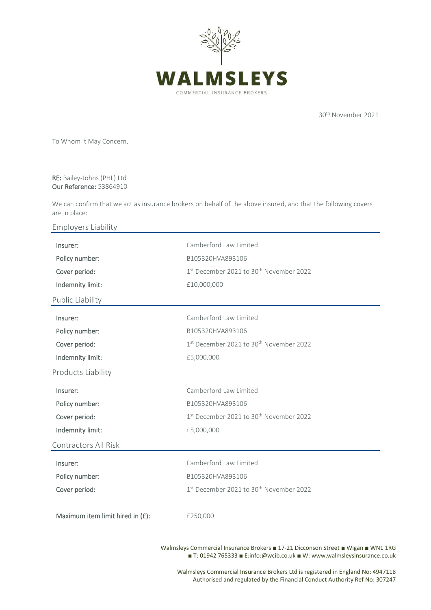

30th November 2021

To Whom It May Concern,

RE: Bailey-Johns (PHL) Ltd Our Reference: 53864910

We can confirm that we act as insurance brokers on behalf of the above insured, and that the following covers are in place:

Employers Liability

| Insurer:                         | Camberford Law Limited                                          |
|----------------------------------|-----------------------------------------------------------------|
| Policy number:                   | B105320HVA893106                                                |
| Cover period:                    | 1st December 2021 to 30 <sup>th</sup> November 2022             |
| Indemnity limit:                 | £10,000,000                                                     |
| Public Liability                 |                                                                 |
| Insurer:                         | Camberford Law Limited                                          |
| Policy number:                   | B105320HVA893106                                                |
| Cover period:                    | 1st December 2021 to 30 <sup>th</sup> November 2022             |
| Indemnity limit:                 | £5,000,000                                                      |
| Products Liability               |                                                                 |
| Insurer:                         | Camberford Law Limited                                          |
| Policy number:                   | B105320HVA893106                                                |
| Cover period:                    | 1 <sup>st</sup> December 2021 to 30 <sup>th</sup> November 2022 |
| Indemnity limit:                 | £5,000,000                                                      |
| Contractors All Risk             |                                                                 |
| Insurer:                         | Camberford Law Limited                                          |
| Policy number:                   | B105320HVA893106                                                |
| Cover period:                    | 1st December 2021 to 30 <sup>th</sup> November 2022             |
|                                  |                                                                 |
| Maximum item limit hired in (£): | £250,000                                                        |
|                                  |                                                                 |

Walmsleys Commercial Insurance Brokers ■ 17-21 Dicconson Street ■ Wigan ■ WN1 1RG ■ T: 01942 765333 ■ E:info:@wcib.co.uk ■ W[: www.walmsleysinsurance.co.uk](http://www.walmsleysinsurance.co.uk/)

Walmsleys Commercial Insurance Brokers Ltd is registered in England No: 4947118 Authorised and regulated by the Financial Conduct Authority Ref No: 307247